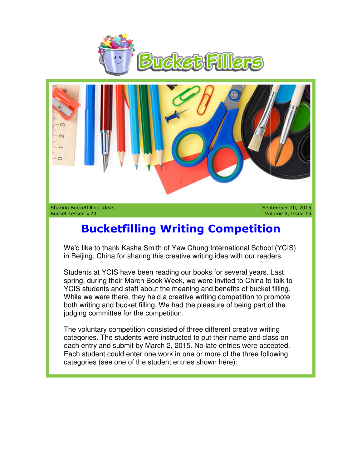



Sharing Bucketfilling Ideas Bucket Lesson #23

September 20, 2015 Volume 9, Issue 15

## **Bucketfilling Writing Competition Bucketfilling Writing**

We'd like to thank Kasha Smith of Yew Chung International School (YCIS) in Beijing, China for sharing this creative writing idea with our readers.

Students at YCIS have been reading our books for several years. Last We'd like to thank Kasha Smith of Yew Chung International School (YCIS)<br>in Beijing, China for sharing this creative writing idea with our readers.<br>Students at YCIS have been reading our books for several years. Last<br>spring YCIS students and staff about the meaning and benefits of bucket filling. While we were there, they held a creative writing competition to promote both writing and bucket filling. We had the pleasure of being part of the judging committee for the competition. i students and staff about the meaning and benefits of bucket filling.<br>
Per we were there, they held a creative writing competition to promote<br>
writing and bucket filling. We had the pleasure of being part of the<br>
mg commi **Bucketfilling Writing Competition**<br> **Bucketfilling Writing Competition**<br>
Volume 9, Issue<br>
Joulties to thank Kasha Smith of Yew Chung International School (YCIS)<br>
Beijing, China for sharing this creative writing idea with

The voluntary competition consisted of three different creative writing categories. The students were instructed to put their name and class on each entry and submit by March 2, 2015. No late entries were accepted. Each student could enter one work in one or more of the three following categories (see one of the student entries shown here):